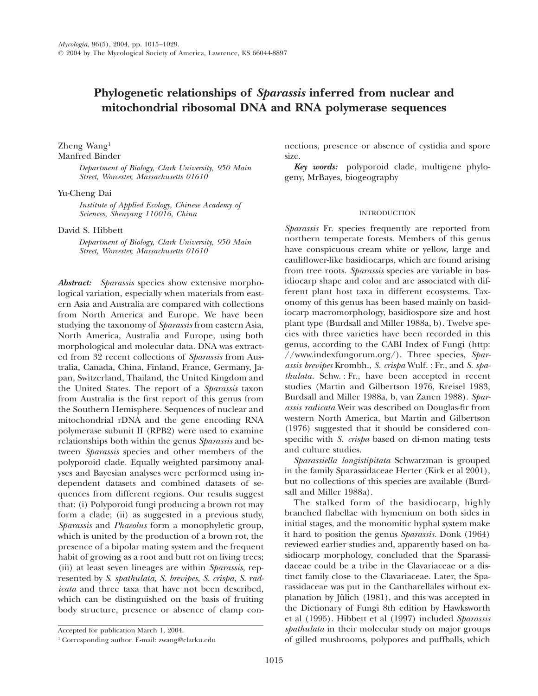# **Phylogenetic relationships of** *Sparassis* **inferred from nuclear and mitochondrial ribosomal DNA and RNA polymerase sequences**

# Zheng Wang1 Manfred Binder

*Department of Biology, Clark University, 950 Main Street, Worcester, Massachusetts 01610*

### Yu-Cheng Dai

*Institute of Applied Ecology, Chinese Academy of Sciences, Shenyang 110016, China*

### David S. Hibbett

*Department of Biology, Clark University, 950 Main Street, Worcester, Massachusetts 01610*

*Abstract: Sparassis* species show extensive morphological variation, especially when materials from eastern Asia and Australia are compared with collections from North America and Europe. We have been studying the taxonomy of *Sparassis* from eastern Asia, North America, Australia and Europe, using both morphological and molecular data. DNA was extracted from 32 recent collections of *Sparassis* from Australia, Canada, China, Finland, France, Germany, Japan, Switzerland, Thailand, the United Kingdom and the United States. The report of a *Sparassis* taxon from Australia is the first report of this genus from the Southern Hemisphere. Sequences of nuclear and mitochondrial rDNA and the gene encoding RNA polymerase subunit II (RPB2) were used to examine relationships both within the genus *Sparassis* and between *Sparassis* species and other members of the polyporoid clade. Equally weighted parsimony analyses and Bayesian analyses were performed using independent datasets and combined datasets of sequences from different regions. Our results suggest that: (i) Polyporoid fungi producing a brown rot may form a clade; (ii) as suggested in a previous study, *Sparassis* and *Phaeolus* form a monophyletic group, which is united by the production of a brown rot, the presence of a bipolar mating system and the frequent habit of growing as a root and butt rot on living trees; (iii) at least seven lineages are within *Sparassis,* represented by *S. spathulata, S. brevipes, S. crispa, S. radicata* and three taxa that have not been described, which can be distinguished on the basis of fruiting body structure, presence or absence of clamp con-

nections, presence or absence of cystidia and spore size.

*Key words:* polyporoid clade, multigene phylogeny, MrBayes, biogeography

### INTRODUCTION

*Sparassis* Fr. species frequently are reported from northern temperate forests. Members of this genus have conspicuous cream white or yellow, large and cauliflower-like basidiocarps, which are found arising from tree roots. *Sparassis* species are variable in basidiocarp shape and color and are associated with different plant host taxa in different ecosystems. Taxonomy of this genus has been based mainly on basidiocarp macromorphology, basidiospore size and host plant type (Burdsall and Miller 1988a, b). Twelve species with three varieties have been recorded in this genus, according to the CABI Index of Fungi (http: //www.indexfungorum.org/). Three species, *Sparassis brevipes* Krombh., *S. crispa* Wulf. : Fr., and *S. spathulata.* Schw. : Fr., have been accepted in recent studies (Martin and Gilbertson 1976, Kreisel 1983, Burdsall and Miller 1988a, b, van Zanen 1988). *Sparassis radicata* Weir was described on Douglas-fir from western North America, but Martin and Gilbertson (1976) suggested that it should be considered conspecific with *S. crispa* based on di-mon mating tests and culture studies.

*Sparassiella longistipitata* Schwarzman is grouped in the family Sparassidaceae Herter (Kirk et al 2001), but no collections of this species are available (Burdsall and Miller 1988a).

The stalked form of the basidiocarp, highly branched flabellae with hymenium on both sides in initial stages, and the monomitic hyphal system make it hard to position the genus *Sparassis.* Donk (1964) reviewed earlier studies and, apparently based on basidiocarp morphology, concluded that the Sparassidaceae could be a tribe in the Clavariaceae or a distinct family close to the Clavariaceae. Later, the Sparassidaceae was put in the Cantharellales without explanation by Jülich  $(1981)$ , and this was accepted in the Dictionary of Fungi 8th edition by Hawksworth et al (1995). Hibbett et al (1997) included *Sparassis spathulata* in their molecular study on major groups of gilled mushrooms, polypores and puffballs, which

Accepted for publication March 1, 2004.

<sup>1</sup> Corresponding author. E-mail: zwang@clarku.edu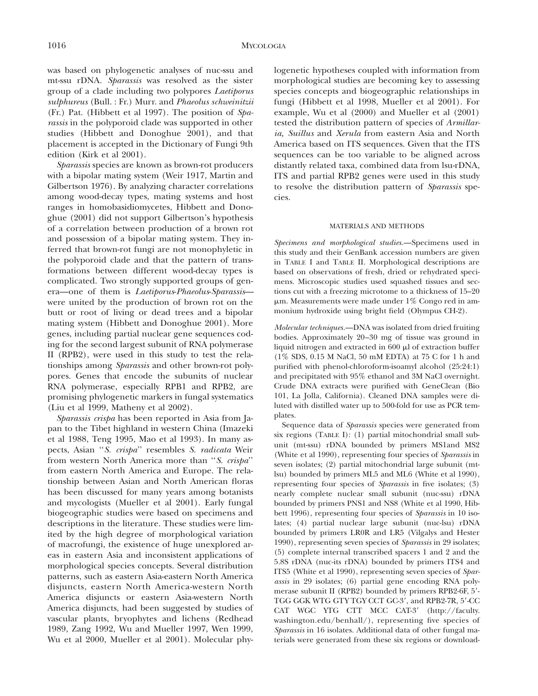was based on phylogenetic analyses of nuc-ssu and mt-ssu rDNA. *Sparassis* was resolved as the sister group of a clade including two polypores *Laetiporus sulphureus* (Bull. : Fr.) Murr. and *Phaeolus schweinitzii* (Fr.) Pat. (Hibbett et al 1997). The position of *Sparassis* in the polyporoid clade was supported in other studies (Hibbett and Donoghue 2001), and that placement is accepted in the Dictionary of Fungi 9th edition (Kirk et al 2001).

*Sparassis* species are known as brown-rot producers with a bipolar mating system (Weir 1917, Martin and Gilbertson 1976). By analyzing character correlations among wood-decay types, mating systems and host ranges in homobasidiomycetes, Hibbett and Donoghue (2001) did not support Gilbertson's hypothesis of a correlation between production of a brown rot and possession of a bipolar mating system. They inferred that brown-rot fungi are not monophyletic in the polyporoid clade and that the pattern of transformations between different wood-decay types is complicated. Two strongly supported groups of genera—one of them is *Laetiporus*-*Phaeolus*-*Sparassis* were united by the production of brown rot on the butt or root of living or dead trees and a bipolar mating system (Hibbett and Donoghue 2001). More genes, including partial nuclear gene sequences coding for the second largest subunit of RNA polymerase II (RPB2), were used in this study to test the relationships among *Sparassis* and other brown-rot polypores. Genes that encode the subunits of nuclear RNA polymerase, especially RPB1 and RPB2, are promising phylogenetic markers in fungal systematics (Liu et al 1999, Matheny et al 2002).

*Sparassis crispa* has been reported in Asia from Japan to the Tibet highland in western China (Imazeki et al 1988, Teng 1995, Mao et al 1993). In many aspects, Asian ''*S. crispa*'' resembles *S. radicata* Weir from western North America more than ''*S. crispa*'' from eastern North America and Europe. The relationship between Asian and North American floras has been discussed for many years among botanists and mycologists (Mueller et al 2001). Early fungal biogeographic studies were based on specimens and descriptions in the literature. These studies were limited by the high degree of morphological variation of macrofungi, the existence of huge unexplored areas in eastern Asia and inconsistent applications of morphological species concepts. Several distribution patterns, such as eastern Asia-eastern North America disjuncts, eastern North America-western North America disjuncts or eastern Asia-western North America disjuncts, had been suggested by studies of vascular plants, bryophytes and lichens (Redhead 1989, Zang 1992, Wu and Mueller 1997, Wen 1999, Wu et al 2000, Mueller et al 2001). Molecular phylogenetic hypotheses coupled with information from morphological studies are becoming key to assessing species concepts and biogeographic relationships in fungi (Hibbett et al 1998, Mueller et al 2001). For example, Wu et al (2000) and Mueller et al (2001) tested the distribution pattern of species of *Armillaria, Suillus* and *Xerula* from eastern Asia and North America based on ITS sequences. Given that the ITS sequences can be too variable to be aligned across distantly related taxa, combined data from lsu-rDNA, ITS and partial RPB2 genes were used in this study to resolve the distribution pattern of *Sparassis* species.

#### MATERIALS AND METHODS

*Specimens and morphological studies.*—Specimens used in this study and their GenBank accession numbers are given in TABLE I and TABLE II. Morphological descriptions are based on observations of fresh, dried or rehydrated specimens. Microscopic studies used squashed tissues and sections cut with a freezing microtome to a thickness of 15–20  $\mu$ m. Measurements were made under 1% Congo red in ammonium hydroxide using bright field (Olympus CH-2).

*Molecular techniques.*—DNA was isolated from dried fruiting bodies. Approximately 20–30 mg of tissue was ground in liquid nitrogen and extracted in  $600 \mu l$  of extraction buffer (1% SDS, 0.15 M NaCl, 50 mM EDTA) at 75 C for 1 h and purified with phenol-chloroform-isoamyl alcohol (25:24:1) and precipitated with 95% ethanol and 3M NaCl overnight. Crude DNA extracts were purified with GeneClean (Bio 101, La Jolla, California). Cleaned DNA samples were diluted with distilled water up to 500-fold for use as PCR templates.

Sequence data of *Sparassis* species were generated from six regions (TABLE I): (1) partial mitochondrial small subunit (mt-ssu) rDNA bounded by primers MS1and MS2 (White et al 1990), representing four species of *Sparassis* in seven isolates; (2) partial mitochondrial large subunit (mtlsu) bounded by primers ML5 and ML6 (White et al 1990), representing four species of *Sparassis* in five isolates; (3) nearly complete nuclear small subunit (nuc-ssu) rDNA bounded by primers PNS1 and NS8 (White et al 1990, Hibbett 1996), representing four species of *Sparassis* in 10 isolates; (4) partial nuclear large subunit (nuc-lsu) rDNA bounded by primers LR0R and LR5 (Vilgalys and Hester 1990), representing seven species of *Sparassis* in 29 isolates; (5) complete internal transcribed spacers 1 and 2 and the 5.8S rDNA (nuc-its rDNA) bounded by primers ITS4 and ITS5 (White et al 1990), representing seven species of *Sparassis* in 29 isolates; (6) partial gene encoding RNA polymerase subunit II (RPB2) bounded by primers RPB2-6F, 5"- TGG GGK WTG GTY TGY CCT GC-3", and RPB2-7R, 5"-CC CAT WGC YTG CTT MCC CAT-3" (http://faculty. washington.edu/benhall/), representing five species of *Sparassis* in 16 isolates. Additional data of other fungal materials were generated from these six regions or download-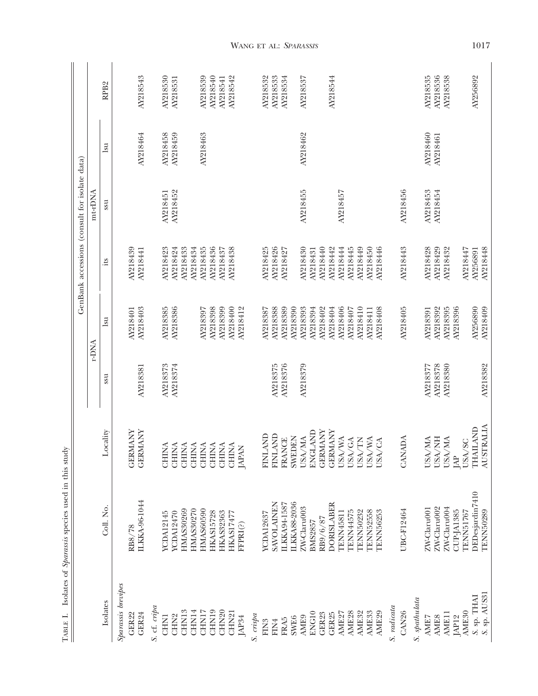|                    |                   |                                                                              |          |              | GenBank accessions (consult for isolate data) |          |                            |                  |
|--------------------|-------------------|------------------------------------------------------------------------------|----------|--------------|-----------------------------------------------|----------|----------------------------|------------------|
|                    |                   |                                                                              |          | r-DNA        |                                               | mt-rDNA  |                            |                  |
| Isolates           | Coll. No.         | Locality                                                                     | ssu      | $\mathbf{u}$ | its.                                          | ssu      | $\mathop{\rm su}\nolimits$ | RPB <sub>2</sub> |
| Sparassis brevipes |                   |                                                                              |          |              |                                               |          |                            |                  |
| GER22              | RB8/78            | <b>GERMANY</b>                                                               |          | AY218401     | AY218439                                      |          |                            |                  |
| GER24              | ILKKA-96-1044     | <b>GERMANY</b>                                                               | AY218381 | AY218403     | AY218441                                      |          | AY218464                   | AY218543         |
| S. cf. cripa       |                   |                                                                              |          |              |                                               |          |                            |                  |
| <b>CHN1</b>        | <b>YCDA12145</b>  | <b>CHINA</b>                                                                 | AY218373 | AY218385     | AY218423                                      | AY218451 | AY218458                   | AY218530         |
| CHN <sub>2</sub>   | <b>YCDA12470</b>  | <b>CHINA</b>                                                                 | AY218374 | AY218386     | AY218424                                      | AY218452 | AY218459                   | AY218531         |
| CHN13              | <b>HMAS30269</b>  | <b>CHINA</b>                                                                 |          |              | AY218433                                      |          |                            |                  |
| CHN14              | <b>HMAS30270</b>  | <b>CHINA</b>                                                                 |          |              | AY218434                                      |          |                            |                  |
| CHN17              | <b>HMAS60590</b>  |                                                                              |          | AY218397     | AY218435                                      |          | AY218463                   | AY218539         |
| CHN19              | <b>HKAS15728</b>  | $\begin{array}{ll} \text{CHINA} \\ \text{CHINA} \\ \text{CHINA} \end{array}$ |          | AY218398     | AY218436                                      |          |                            | AY218540         |
| CHN <sub>20</sub>  | <b>HKAS32363</b>  |                                                                              |          | AY218399     | AY218437                                      |          |                            | AY218541         |
| CHN <sub>21</sub>  | <b>HKAS17477</b>  | <b>CHINA</b>                                                                 |          | AY218400     | AY218438                                      |          |                            | AY218542         |
| JAP34              | FFPRI(?)          | <b>JAPAN</b>                                                                 |          | AY218412     |                                               |          |                            |                  |
| S. crispa          |                   |                                                                              |          |              |                                               |          |                            |                  |
| FIN <sub>3</sub>   | <b>YCDA12637</b>  | <b>HNLAND</b>                                                                |          | AY218387     | AY218425                                      |          |                            | AY218532         |
| FIN4               | <b>SAVOLAINEN</b> | <b>LAND</b><br>ENI                                                           | AY218375 | AY218388     | AY218426                                      |          |                            | AY218533         |
| <b>FRA5</b>        | ILKKA94-1587      | <b>FRANCE</b>                                                                | AY218376 | AY218389     | AY218427                                      |          |                            | AY218534         |
| <b>SWE6</b>        | ILKKA88-2036      | <b>SWEDEN</b>                                                                |          | AY218390     |                                               |          |                            |                  |
| AME9               | ZW-Claru003       | <b>USA/MA</b>                                                                | AY218379 | AY218393     | AY218430                                      | AY218455 | AY218462                   | AY218537         |
| ENG10              | <b>BMS2857</b>    | <b>ENGLAND</b>                                                               |          | AY218394     | AY218431                                      |          |                            |                  |
| GER23              | RB9/6/87          | <b>GERMANY</b>                                                               |          | AY218402     | AY218440                                      |          |                            |                  |
| GER25              | DORISLABER        | <b>GERMANY</b>                                                               |          | AY218404     | AY218442                                      |          |                            | AY218544         |
| AME <sub>27</sub>  | <b>TENN45811</b>  | USA/WA                                                                       |          | AY218406     | AY218444                                      | AY218457 |                            |                  |
| AME <sub>28</sub>  | <b>TENN44575</b>  | USA/GA                                                                       |          | AY218407     | AY218445                                      |          |                            |                  |
| AME32              | <b>TENN50232</b>  | USA/TN                                                                       |          | AY218410     | AY218449                                      |          |                            |                  |
| AME <sub>33</sub>  | <b>TENN52558</b>  | USA/WA                                                                       |          | AY218411     | AY218450                                      |          |                            |                  |
| AME <sub>29</sub>  | TENN56253         | USA/CA                                                                       |          | AY218408     | AY218446                                      |          |                            |                  |
| S. radicata        |                   |                                                                              |          |              |                                               |          |                            |                  |
| CAN <sub>26</sub>  | UBC-F12464        | CANADA                                                                       |          | AY218405     | AY218443                                      | AY218456 |                            |                  |
| S. spathulata      |                   |                                                                              |          |              |                                               |          |                            |                  |
| AMIE7              | ZW-Claru001       | USA/MA                                                                       | AY218377 | AY218391     | AY218428                                      | AY218453 | AY218460                   | AY218535         |
| <b>AMIE8</b>       | ZW-Claru002       | <b>HN/VSN</b>                                                                | AY218378 | AY218392     | AY218429                                      | AY218454 | AY218461                   | AY218536         |
| AME11              | ZW-Claru004       | USA/MA                                                                       | AY218380 | AY218395     | AY218432                                      |          |                            | AY218538         |
| JAP12              | <b>CUP-JA1385</b> | $\mathbb R$                                                                  |          | AY218396     |                                               |          |                            |                  |
| AME <sub>30</sub>  | <b>TENN51767</b>  | USA/SC                                                                       |          |              | AY218447                                      |          |                            |                  |
| S. sp. THAI        | DEDesjardin7410   | <b>THAILAND</b>                                                              |          | AY256890     | AY256891                                      |          |                            | AY256892         |
| S. sp. AUS31       | <b>TENN50289</b>  | <b>AUSTRALIA</b>                                                             | AY218382 | AY218409     | AY218448                                      |          |                            |                  |

TABLE I. Isolates of Sparassis species used in this study TABLE I. Isolates of *Sparassis* species used in this study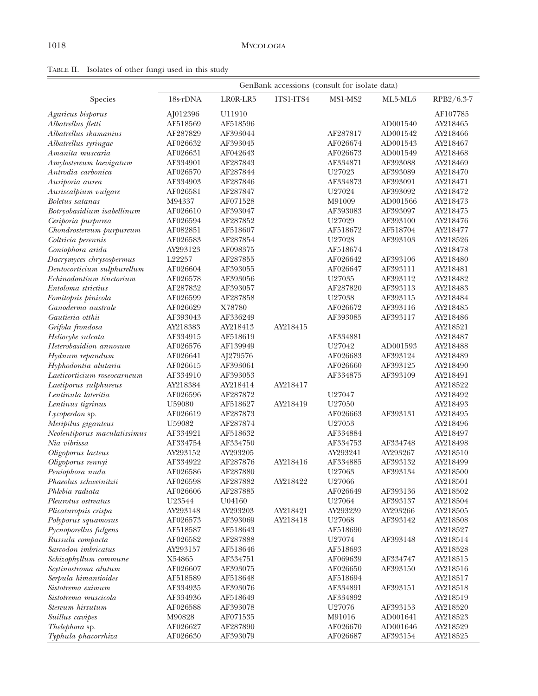TABLE II. Isolates of other fungi used in this study

|                              | GenBank accessions (consult for isolate data) |          |           |          |          |            |  |
|------------------------------|-----------------------------------------------|----------|-----------|----------|----------|------------|--|
| Species                      | 18s-rDNA                                      | LR0R-LR5 | ITS1-ITS4 | MS1-MS2  | ML5-ML6  | RPB2/6.3-7 |  |
| Agaricus bisporus            | AJ012396                                      | U11910   |           |          |          | AF107785   |  |
| Albatrellus fletti           | AF518569                                      | AF518596 |           |          | AD001540 | AY218465   |  |
| Albatrellus skamanius        | AF287829                                      | AF393044 |           | AF287817 | AD001542 | AY218466   |  |
| Albatrellus syringae         | AF026632                                      | AF393045 |           | AF026674 | AD001543 | AY218467   |  |
| Amanita muscaria             | AF026631                                      | AF042643 |           | AF026673 | AD001549 | AY218468   |  |
| Amylostereum laevigatum      | AF334901                                      | AF287843 |           | AF334871 | AF393088 | AY218469   |  |
| Antrodia carbonica           | AF026570                                      | AF287844 |           | U27023   | AF393089 | AY218470   |  |
| Auriporia aurea              | AF334903                                      | AF287846 |           | AF334873 | AF393091 | AY218471   |  |
| Auriscalpium vulgare         | AF026581                                      | AF287847 |           | U27024   | AF393092 | AY218472   |  |
| <b>Boletus</b> satanas       | M94337                                        | AF071528 |           | M91009   | AD001566 | AY218473   |  |
| Botryobasidium isabellinum   | AF026610                                      | AF393047 |           | AF393083 | AF393097 | AY218475   |  |
| Ceriporia purpurea           | AF026594                                      | AF287852 |           | U27029   | AF393100 | AY218476   |  |
| Chondrostereum purpureum     | AF082851                                      | AF518607 |           | AF518672 | AF518704 | AY218477   |  |
| Coltricia perennis           | AF026583                                      | AF287854 |           | U27028   | AF393103 | AY218526   |  |
| Coniophora arida             | AY293123                                      | AF098375 |           | AF518674 |          | AY218478   |  |
| Dacrymyces chrysospermus     | L22257                                        | AF287855 |           | AF026642 | AF393106 | AY218480   |  |
| Dentocorticium sulphurellum  | AF026604                                      | AF393055 |           | AF026647 | AF393111 | AY218481   |  |
| Echinodontium tinctorium     | AF026578                                      | AF393056 |           | U27035   | AF393112 | AY218482   |  |
| Entoloma strictius           | AF287832                                      | AF393057 |           | AF287820 | AF393113 | AY218483   |  |
| Fomitopsis pinicola          | AF026599                                      | AF287858 |           | U27038   | AF393115 | AY218484   |  |
| Ganoderma australe           | AF026629                                      | X78780   |           | AF026672 | AF393116 | AY218485   |  |
| Gautieria otthii             | AF393043                                      | AF336249 |           | AF393085 | AF393117 | AY218486   |  |
| Grifola frondosa             | AY218383                                      | AY218413 | AY218415  |          |          | AY218521   |  |
| Heliocybe sulcata            | AF334915                                      | AF518619 |           | AF334881 |          | AY218487   |  |
| Heterobasidion annosum       | AF026576                                      | AF139949 |           | U27042   | AD001593 | AY218488   |  |
| Hydnum repandum              | AF026641                                      | AJ279576 |           | AF026683 | AF393124 | AY218489   |  |
| Hyphodontia alutaria         | AF026615                                      | AF393061 |           | AF026660 | AF393125 | AY218490   |  |
| Laeticorticium roseocarneum  | AF334910                                      | AF393053 |           | AF334875 | AF393109 | AY218491   |  |
| Laetiporus sulphureus        | AY218384                                      | AY218414 | AY218417  |          |          | AY218522   |  |
| Lentinula lateritia          | AF026596                                      | AF287872 |           | U27047   |          | AY218492   |  |
| Lentinus tigrinus            | U59080                                        | AF518627 | AY218419  | U27050   |          | AY218493   |  |
| Lycoperdon sp.               | AF026619                                      | AF287873 |           | AF026663 | AF393131 | AY218495   |  |
| Meripilus giganteus          | U59082                                        | AF287874 |           | U27053   |          | AY218496   |  |
| Neolentiporus maculatissimus | AF334921                                      | AF518632 |           | AF334884 |          | AY218497   |  |
| Nia vibrissa                 | AF334754                                      | AF334750 |           | AF334753 | AF334748 | AY218498   |  |
| Oligoporus lacteus           | AY293152                                      | AY293205 |           | AY293241 | AY293267 | AY218510   |  |
| Oligoporus rennyi            | AF334922                                      | AF287876 | AY218416  | AF334885 | AF393132 | AY218499   |  |
| Peniophora nuda              | AF026586                                      | AF287880 |           | U27063   | AF393134 | AY218500   |  |
| Phaeolus schweinitzii        | AF026598                                      | AF287882 | AY218422  | U27066   |          | AY218501   |  |
| Phlebia radiata              | AF026606                                      | AF287885 |           | AF026649 | AF393136 | AY218502   |  |
| Pleurotus ostreatus          | U23544                                        | U04160   |           | U27064   | AF393137 | AY218504   |  |
| Plicaturopsis crispa         | AY293148                                      | AY293203 | AY218421  | AY293239 | AY293266 | AY218505   |  |
| Polyporus squamosus          | AF026573                                      | AF393069 | AY218418  | U27068   | AF393142 | AY218508   |  |
| Pycnoporellus fulgens        | AF518587                                      | AF518643 |           | AF518690 |          | AY218527   |  |
| Russula compacta             | AF026582                                      | AF287888 |           | U27074   | AF393148 | AY218514   |  |
| Sarcodon imbricatus          | AY293157                                      | AF518646 |           | AF518693 |          | AY218528   |  |
| Schizophyllum commune        | X54865                                        | AF334751 |           | AF069639 | AF334747 | AY218515   |  |
| Scytinostroma alutum         | AF026607                                      | AF393075 |           | AF026650 | AF393150 | AY218516   |  |
| Serpula himantioides         | AF518589                                      | AF518648 |           | AF518694 |          | AY218517   |  |
| Sistotrema eximum            | AF334935                                      | AF393076 |           | AF334891 | AF393151 | AY218518   |  |
| Sistotrema muscicola         | AF334936                                      | AF518649 |           | AF334892 |          | AY218519   |  |
| Stereum hirsutum             | AF026588                                      | AF393078 |           | U27076   | AF393153 | AY218520   |  |
| Suillus cavipes              | M90828                                        | AF071535 |           | M91016   | AD001641 | AY218523   |  |
| <i>Thelephora</i> sp.        | AF026627                                      | AF287890 |           | AF026670 | AD001646 | AY218529   |  |
| Typhula phacorrhiza          | AF026630                                      | AF393079 |           | AF026687 | AF393154 | AY218525   |  |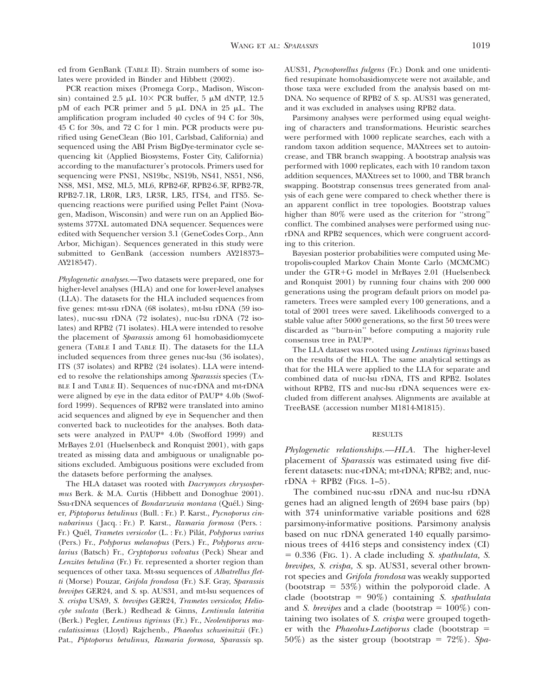ed from GenBank (TABLE II). Strain numbers of some isolates were provided in Binder and Hibbett (2002).

PCR reaction mixes (Promega Corp., Madison, Wisconsin) contained 2.5  $\mu$ L 10× PCR buffer, 5  $\mu$ M dNTP, 12.5 pM of each PCR primer and  $5 \mu L$  DNA in 25  $\mu L$ . The amplification program included 40 cycles of 94 C for 30s, 45 C for 30s, and 72 C for 1 min. PCR products were purified using GeneClean (Bio 101, Carlsbad, California) and sequenced using the ABI Prism BigDye-terminator cycle sequencing kit (Applied Biosystems, Foster City, California) according to the manufacturer's protocols. Primers used for sequencing were PNS1, NS19bc, NS19b, NS41, NS51, NS6, NS8, MS1, MS2, ML5, ML6, RPB2-6F, RPB2-6.3F, RPB2-7R, RPB2-7.1R, LR0R, LR3, LR3R, LR5, ITS4, and ITS5. Sequencing reactions were purified using Pellet Paint (Novagen, Madison, Wisconsin) and were run on an Applied Biosystems 377XL automated DNA sequencer. Sequences were edited with Sequencher version 3.1 (GeneCodes Corp., Ann Arbor, Michigan). Sequences generated in this study were submitted to GenBank (accession numbers AY218373– AY218547).

*Phylogenetic analyses.*—Two datasets were prepared, one for higher-level analyses (HLA) and one for lower-level analyses (LLA). The datasets for the HLA included sequences from five genes: mt-ssu rDNA (68 isolates), mt-lsu rDNA (59 isolates), nuc-ssu rDNA (72 isolates), nuc-lsu rDNA (72 isolates) and RPB2 (71 isolates). HLA were intended to resolve the placement of *Sparassis* among 61 homobasidiomycete genera (TABLE I and TABLE II). The datasets for the LLA included sequences from three genes nuc-lsu (36 isolates), ITS (37 isolates) and RPB2 (24 isolates). LLA were intended to resolve the relationships among *Sparassis* species (TA-BLE I and TABLE II). Sequences of nuc-rDNA and mt-rDNA were aligned by eye in the data editor of PAUP\* 4.0b (Swofford 1999). Sequences of RPB2 were translated into amino acid sequences and aligned by eye in Sequencher and then converted back to nucleotides for the analyses. Both datasets were analyzed in PAUP\* 4.0b (Swofford 1999) and MrBayes 2.01 (Huelsenbeck and Ronquist 2001), with gaps treated as missing data and ambiguous or unalignable positions excluded. Ambiguous positions were excluded from the datasets before performing the analyses.

The HLA dataset was rooted with *Dacrymyces chrysospermus* Berk. & M.A. Curtis (Hibbett and Donoghue 2001). Ssu-rDNA sequences of *Bondarzewia montana* (Quél.) Singer, *Piptoporus betulinus* (Bull. : Fr.) P. Karst., *Pycnoporus cinnabarinus* ( Jacq. : Fr.) P. Karst., *Ramaria formosa* (Pers. : Fr.) Que´l, *Trametes versicolor* (L. : Fr.) Pila´t, *Polyporus varius* (Pers.) Fr., *Polyporus melanopus* (Pers.) Fr., *Polyporus arcularius* (Batsch) Fr., *Cryptoporus volvatus* (Peck) Shear and *Lenzites betulina* (Fr.) Fr. represented a shorter region than sequences of other taxa. Mt-ssu sequences of *Albatrellus fletti* (Morse) Pouzar, *Grifola frondosa* (Fr.) S.F. Gray, *Sparassis brevipes* GER24, and *S.* sp. AUS31, and mt-lsu sequences of *S. crispa* USA9, *S. brevipes* GER24, *Trametes versicolor, Heliocybe sulcata* (Berk.) Redhead & Ginns, *Lentinula lateritia* (Berk.) Pegler, *Lentinus tigrinus* (Fr.) Fr., *Neolentiporus maculatissimus* (Lloyd) Rajchenb., *Phaeolus schweinitzii* (Fr.) Pat., *Piptoporus betulinus, Ramaria formosa, Sparassis* sp.

AUS31, *Pycnoporellus fulgens* (Fr.) Donk and one unidentified resupinate homobasidiomycete were not available, and those taxa were excluded from the analysis based on mt-DNA. No sequence of RPB2 of *S.* sp. AUS31 was generated, and it was excluded in analyses using RPB2 data.

Parsimony analyses were performed using equal weighting of characters and transformations. Heuristic searches were performed with 1000 replicate searches, each with a random taxon addition sequence, MAXtrees set to autoincrease, and TBR branch swapping. A bootstrap analysis was performed with 1000 replicates, each with 10 random taxon addition sequences, MAXtrees set to 1000, and TBR branch swapping. Bootstrap consensus trees generated from analysis of each gene were compared to check whether there is an apparent conflict in tree topologies. Bootstrap values higher than 80% were used as the criterion for "strong" conflict. The combined analyses were performed using nucrDNA and RPB2 sequences, which were congruent according to this criterion.

Bayesian posterior probabilities were computed using Metropolis-coupled Markov Chain Monte Carlo (MCMCMC) under the  $GTR+G$  model in MrBayes 2.01 (Huelsenbeck and Ronquist 2001) by running four chains with 200 000 generations using the program default priors on model parameters. Trees were sampled every 100 generations, and a total of 2001 trees were saved. Likelihoods converged to a stable value after 5000 generations, so the first 50 trees were discarded as ''burn-in'' before computing a majority rule consensus tree in PAUP\*.

The LLA dataset was rooted using *Lentinus tigrinus* based on the results of the HLA. The same analytical settings as that for the HLA were applied to the LLA for separate and combined data of nuc-lsu rDNA, ITS and RPB2. Isolates without RPB2, ITS and nuc-lsu rDNA sequences were excluded from different analyses. Alignments are available at TreeBASE (accession number M1814-M1815).

### RESULTS

*Phylogenetic relationships.—HLA.* The higher-level placement of *Sparassis* was estimated using five different datasets: nuc-rDNA; mt-rDNA; RPB2; and, nuc $rDNA + RPB2$  (Figs. 1–5).

The combined nuc-ssu rDNA and nuc-lsu rDNA genes had an aligned length of 2694 base pairs (bp) with 374 uninformative variable positions and 628 parsimony-informative positions. Parsimony analysis based on nuc rDNA generated 140 equally parsimonious trees of 4416 steps and consistency index (CI) % 0.336 (FIG. 1). A clade including *S. spathulata, S. brevipes, S. crispa, S.* sp. AUS31, several other brownrot species and *Grifola frondosa* was weakly supported (bootstrap =  $53\%$ ) within the polyporoid clade. A clade (bootstrap =  $90\%$ ) containing *S. spathulata* and *S. brevipes* and a clade (bootstrap  $= 100\%$ ) containing two isolates of *S. crispa* were grouped together with the *Phaeolus-Laetiporus* clade (bootstrap =  $50\%$ ) as the sister group (bootstrap  $= 72\%$ ). *Spa*-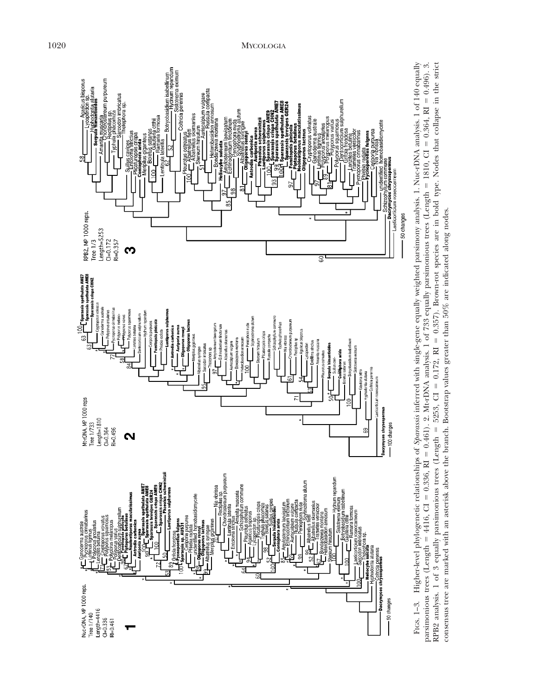

FIGS. 1-3. Higher-level phylogenetic relationships of Sparassi inferred with single-gene equally weighted parsimony analysis. 1. Nuc-rDNA analysis. 1 of 140 equally FIGS. 1–3. Higher-level phylogenetic relationships of *Sparassis* inferred with single-gene equally weighted parsimony analysis. 1. Nuc-rDNA analysis. 1 of 140 equally  $= 0.496$ ). 3. 0.357). Brown-rot species are in bold type. Nodes that collapse in the strict  $= 0.364, R1$  1810, CI 0.461). 2. Mt-rDNA analysis. 1 of 733 equally parsimonious trees (Length consensus tree are marked with an asterisk above the branch. Bootstrap values greater than 50% are indicated along nodes. consensus tree are marked with an asterisk above the branch. Bootstrap values greater than 50% are indicated along nodes. $= 0.172$ , RI 5253, CI RPB2 analysis. 1 of 3 equally parsimonious trees (Length  $= 0.336, R1$  $=4416, \, \text{CI}$ parsimonious trees (Length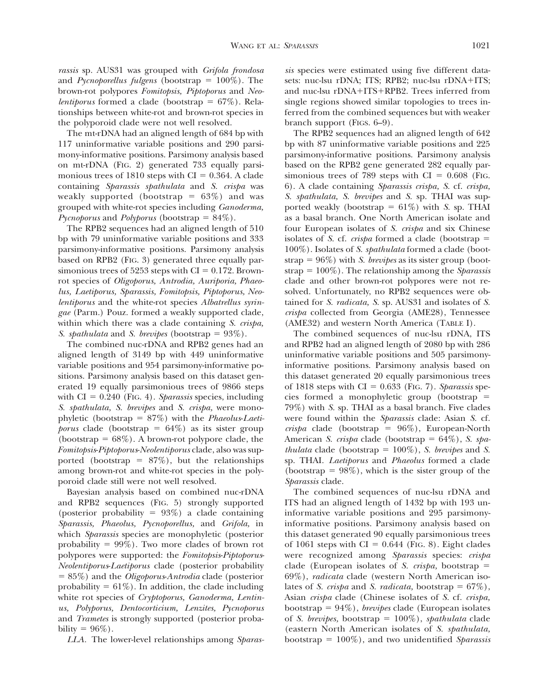*rassis* sp. AUS31 was grouped with *Grifola frondosa* and *Pycnoporellus fulgens* (bootstrap  $= 100\%$ ). The brown-rot polypores *Fomitopsis, Piptoporus* and *Neolentiporus* formed a clade (bootstrap  $= 67\%$ ). Relationships between white-rot and brown-rot species in the polyporoid clade were not well resolved.

The mt-rDNA had an aligned length of 684 bp with 117 uninformative variable positions and 290 parsimony-informative positions. Parsimony analysis based on mt-rDNA (FIG. 2) generated 733 equally parsimonious trees of 1810 steps with CI =  $0.364$ . A clade containing *Sparassis spathulata* and *S. crispa* was weakly supported (bootstrap  $= 63\%$ ) and was grouped with white-rot species including *Ganoderma, Pycnoporus* and *Polyporus* (bootstrap  $= 84\%$ ).

The RPB2 sequences had an aligned length of 510 bp with 79 uninformative variable positions and 333 parsimony-informative positions. Parsimony analysis based on RPB2 (FIG. 3) generated three equally parsimonious trees of 5253 steps with  $CI = 0.172$ . Brownrot species of *Oligoporus, Antrodia, Auriporia, Phaeolus, Laetiporus, Sparassis, Fomitopsis, Piptoporus, Neolentiporus* and the white-rot species *Albatrellus syringae* (Parm.) Pouz. formed a weakly supported clade, within which there was a clade containing *S. crispa, S. spathulata* and *S. brevipes* (bootstrap  $= 93\%$ ).

The combined nuc-rDNA and RPB2 genes had an aligned length of 3149 bp with 449 uninformative variable positions and 954 parsimony-informative positions. Parsimony analysis based on this dataset generated 19 equally parsimonious trees of 9866 steps with  $CI = 0.240$  (Fig. 4). *Sparassis* species, including *S. spathulata, S. brevipes* and *S. crispa,* were monophyletic (bootstrap = 87%) with the *Phaeolus-Laetiporus* clade (bootstrap =  $64\%$ ) as its sister group (bootstrap =  $68\%$ ). A brown-rot polypore clade, the *Fomitopsis*-*Piptoporus*-*Neolentiporus* clade, also was supported (bootstrap =  $87\%$ ), but the relationships among brown-rot and white-rot species in the polyporoid clade still were not well resolved.

Bayesian analysis based on combined nuc-rDNA and RPB2 sequences (FIG. 5) strongly supported (posterior probability =  $93\%$ ) a clade containing *Sparassis, Phaeolus, Pycnoporellus,* and *Grifola,* in which *Sparassis* species are monophyletic (posterior probability  $= 99\%$ ). Two more clades of brown rot polypores were supported: the *Fomitopsis*-*Piptoporus*-*Neolentiporus*-*Laetiporus* clade (posterior probability % 85%) and the *Oligoporus*-*Antrodia* clade (posterior probability  $= 61\%$ ). In addition, the clade including white rot species of *Cryptoporus, Ganoderma, Lentinus, Polyporus, Dentocorticium, Lenzites, Pycnoporus* and *Trametes* is strongly supported (posterior probability =  $96\%$ ).

*LLA.* The lower-level relationships among *Sparas-*

*sis* species were estimated using five different datasets: nuc-lsu rDNA; ITS; RPB2; nuc-lsu rDNA+ITS; and nuc-lsu rDNA+ITS+RPB2. Trees inferred from single regions showed similar topologies to trees inferred from the combined sequences but with weaker branch support (FIGS. 6–9).

The RPB2 sequences had an aligned length of 642 bp with 87 uninformative variable positions and 225 parsimony-informative positions. Parsimony analysis based on the RPB2 gene generated 282 equally parsimonious trees of 789 steps with  $CI = 0.608$  (Fig. 6). A clade containing *Sparassis crispa, S.* cf. *crispa, S. spathulata, S. brevipes* and *S.* sp. THAI was supported weakly (bootstrap  $= 61\%$ ) with *S.* sp. THAI as a basal branch. One North American isolate and four European isolates of *S. crispa* and six Chinese isolates of *S.* cf. *crispa* formed a clade (bootstrap  $=$ 100%). Isolates of *S. spathulata* formed a clade (bootstrap  $= 96\%$ ) with *S. brevipes* as its sister group (bootstrap  $= 100\%$ ). The relationship among the *Sparassis* clade and other brown-rot polypores were not resolved. Unfortunately, no RPB2 sequences were obtained for *S. radicata, S.* sp. AUS31 and isolates of *S. crispa* collected from Georgia (AME28), Tennessee (AME32) and western North America (TABLE I).

The combined sequences of nuc-lsu rDNA, ITS and RPB2 had an aligned length of 2080 bp with 286 uninformative variable positions and 505 parsimonyinformative positions. Parsimony analysis based on this dataset generated 20 equally parsimonious trees of  $1818$  steps with  $CI = 0.633$  (FIG. 7). *Sparassis* species formed a monophyletic group (bootstrap  $=$ 79%) with *S.* sp. THAI as a basal branch. Five clades were found within the *Sparassis* clade: Asian *S.* cf.  $crispa$  clade (bootstrap =  $96\%$ ), European-North American *S. crispa* clade (bootstrap = 64%), *S. spathulata* clade (bootstrap =  $100\%$ ), *S. brevipes* and *S.* sp. THAI. *Laetiporus* and *Phaeolus* formed a clade (bootstrap  $= 98\%$ ), which is the sister group of the *Sparassis* clade.

The combined sequences of nuc-lsu rDNA and ITS had an aligned length of 1432 bp with 193 uninformative variable positions and 295 parsimonyinformative positions. Parsimony analysis based on this dataset generated 90 equally parsimonious trees of 1061 steps with  $CI = 0.644$  (FIG. 8). Eight clades were recognized among *Sparassis* species: *crispa* clade (European isolates of *S. crispa*, bootstrap  $=$ 69%), *radicata* clade (western North American isolates of *S. crispa* and *S. radicata*, bootstrap =  $67\%$ ), Asian *crispa* clade (Chinese isolates of *S.* cf. *crispa,* bootstrap % 94%), *brevipes* clade (European isolates of *S. brevipes,* bootstrap =  $100\%$ *), spathulata* clade (eastern North American isolates of *S. spathulata,* bootstrap % 100%), and two unidentified *Sparassis*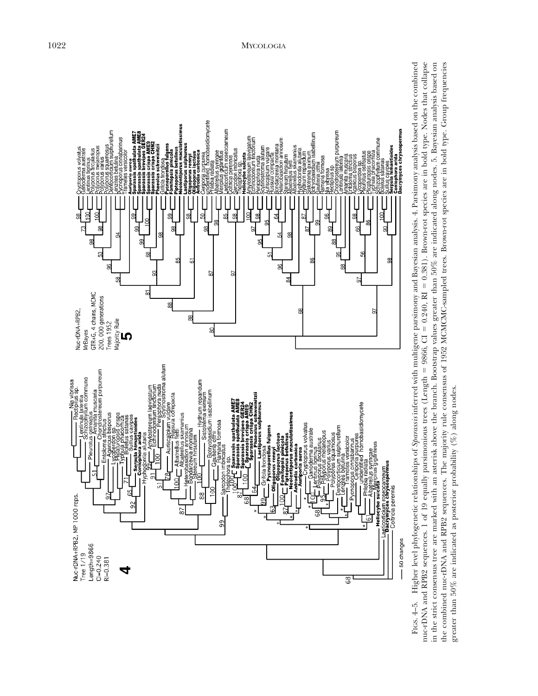

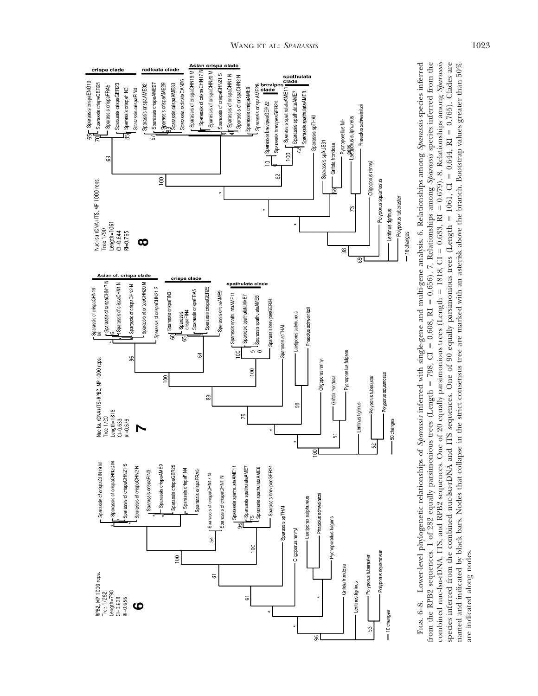

FIGS. 6-8. Lower-level phylogenetic relationships of Sparassis inferred with single-gene and multi-gene analysis. 6. Relationships among Sparassis species inferred 0.679). 8. Relationships among *Sparassis* named and indicated by black bars. Nodes that collapse in the strict consensus tree are marked with an asterisk above the branch. Bootstrap values greater than 50% FIGS. 6–8. Lower-level phylogenetic relationships of *Sparassis* inferred with single-gene and multi-gene analysis. 6. Relationships among *Sparassis* species inferred 0.656). 7. Relationships among *Sparassis* species inferred from the  $= 0.765$ ). Clades are named and indicated by black bars. Nodes that collapse in the strict consensus tree are marked with an asterisk above the branch. Bootstrap values greater than 50%  $= 0.644, R1$  $= 1061, \, \text{CI}$  $= 0.633, R1$ species inferred from the combined nuc-lsu-rDNA and ITS sequences. One of 90 equally parsimonious trees (Length 1818, CI combined nuc-lsu-rDNA, ITS, and RPB2 sequences. One of 20 equally parsimonious trees (Length  $= 0.608, R1$ % 798, CI from the RPB2 sequences. 1 of 282 equally parsimonious trees (Length are indicated along nodes. are indicated along nodes.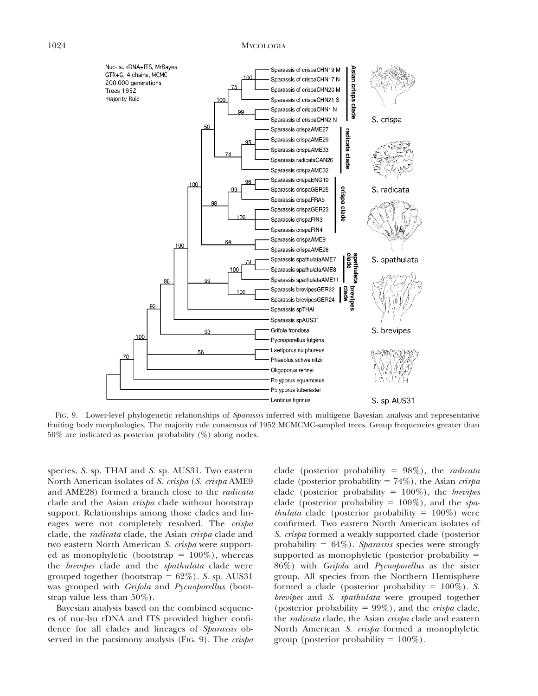### 1024 MYCOLOGIA



FIG. 9. Lower-level phylogenetic relationships of *Sparassis* inferred with multigene Bayesian analysis and representative fruiting body morphologies. The majority rule consensus of 1952 MCMCMC-sampled trees. Group frequencies greater than 50% are indicated as posterior probability (%) along nodes.

species, *S.* sp. THAI and *S.* sp. AUS31. Two eastern North American isolates of *S. crispa* (*S. crispa* AME9 and AME28) formed a branch close to the *radicata* clade and the Asian *crispa* clade without bootstrap support. Relationships among those clades and lineages were not completely resolved. The *crispa* clade, the *radicata* clade, the Asian *crispa* clade and two eastern North American *S. crispa* were supported as monophyletic (bootstrap =  $100\%$ ), whereas the *brevipes* clade and the *spathulata* clade were grouped together (bootstrap  $= 62\%$ ). *S.* sp. AUS31 was grouped with *Grifola* and *Pycnoporellus* (bootstrap value less than 50%).

Bayesian analysis based on the combined sequences of nuc-lsu rDNA and ITS provided higher confidence for all clades and lineages of *Sparassis* observed in the parsimony analysis (FIG. 9). The *crispa*

clade (posterior probability  $= 98\%$ ), the *radicata* clade (posterior probability  $= 74\%$ ), the Asian *crispa* clade (posterior probability = 100%), the *brevipes* clade (posterior probability  $= 100\%$ ), and the *spathulata* clade (posterior probability  $= 100\%$ ) were confirmed. Two eastern North American isolates of *S. crispa* formed a weakly supported clade (posterior probability  $= 64\%$ ). *Sparassis* species were strongly supported as monophyletic (posterior probability  $=$ 86%) with *Grifola* and *Pycnoporellus* as the sister group. All species from the Northern Hemisphere formed a clade (posterior probability  $= 100\%$ ). *S. brevipes* and *S. spathulata* were grouped together (posterior probability = 99%), and the *crispa* clade, the *radicata* clade, the Asian *crispa* clade and eastern North American *S. crispa* formed a monophyletic group (posterior probability  $= 100\%$ ).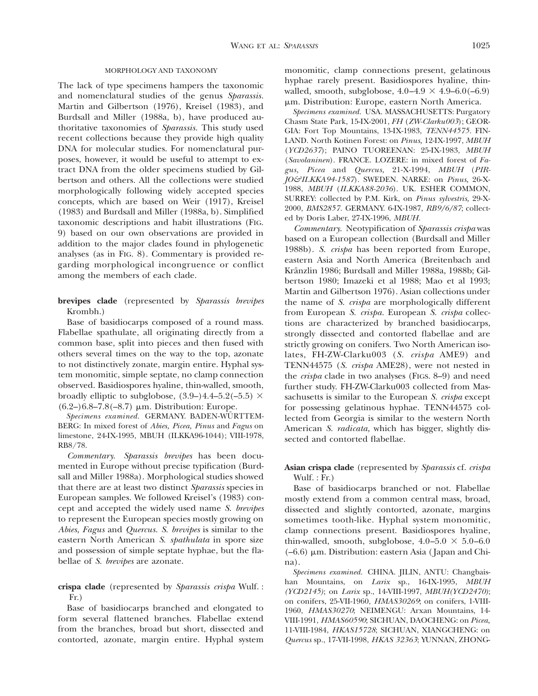### MORPHOLOGY AND TAXONOMY

The lack of type specimens hampers the taxonomic and nomenclatural studies of the genus *Sparassis.* Martin and Gilbertson (1976), Kreisel (1983), and Burdsall and Miller (1988a, b), have produced authoritative taxonomies of *Sparassis.* This study used recent collections because they provide high quality DNA for molecular studies. For nomenclatural purposes, however, it would be useful to attempt to extract DNA from the older specimens studied by Gilbertson and others. All the collections were studied morphologically following widely accepted species concepts, which are based on Weir (1917), Kreisel (1983) and Burdsall and Miller (1988a, b). Simplified taxonomic descriptions and habit illustrations (FIG. 9) based on our own observations are provided in addition to the major clades found in phylogenetic analyses (as in FIG. 8). Commentary is provided regarding morphological incongruence or conflict among the members of each clade.

**brevipes clade** (represented by *Sparassis brevipes* Krombh.)

Base of basidiocarps composed of a round mass. Flabellae spathulate, all originating directly from a common base, split into pieces and then fused with others several times on the way to the top, azonate to not distinctively zonate, margin entire. Hyphal system monomitic, simple septate, no clamp connection observed. Basidiospores hyaline, thin-walled, smooth, broadly elliptic to subglobose,  $(3.9-)4.4-5.2(-5.5) \times$  $(6.2-)6.8-7.8(-8.7) \mu m.$  Distribution: Europe.

 $Specimens\ examined.~ GERMANY. BADEN-WÜRTTEM-$ BERG: In mixed forest of *Abies, Picea, Pinus* and *Fagus* on limestone, 24-IX-1995, MBUH (ILKKA96-1044); VIII-1978, RB8/78.

*Commentary. Sparassis brevipes* has been documented in Europe without precise typification (Burdsall and Miller 1988a). Morphological studies showed that there are at least two distinct *Sparassis* species in European samples. We followed Kreisel's (1983) concept and accepted the widely used name *S. brevipes* to represent the European species mostly growing on *Abies, Fagus* and *Quercus. S. brevipes* is similar to the eastern North American *S. spathulata* in spore size and possession of simple septate hyphae, but the flabellae of *S. brevipes* are azonate.

# **crispa clade** (represented by *Sparassis crispa* Wulf. : Fr.)

Base of basidiocarps branched and elongated to form several flattened branches. Flabellae extend from the branches, broad but short, dissected and contorted, azonate, margin entire. Hyphal system

monomitic, clamp connections present, gelatinous hyphae rarely present. Basidiospores hyaline, thinwalled, smooth, subglobose,  $4.0-4.9 \times 4.9-6.0(-6.9)$  $\mu$ m. Distribution: Europe, eastern North America.

*Specimens examined.* USA. MASSACHUSETTS: Purgatory Chasm State Park, 15-IX-2001, *FH* (*ZW-Clarku003*); GEOR-GIA: Fort Top Mountains, 13-IX-1983, *TENN44575.* FIN-LAND. North Kotinen Forest: on *Pinus,* 12-IX-1997, *MBUH* (*YCD2637*); PAINO TUOREENAN: 25-IX-1983, *MBUH* (*Savolaninen*). FRANCE. LOZERE: in mixed forest of *Fagus, Picea* and *Quercus,* 21-X-1994, *MBUH* (*PIR-JO&ILKKA94-1587*). SWEDEN. NARKE: on *Pinus,* 26-X-1988, *MBUH* (*ILKKA88-2036*). UK. ESHER COMMON, SURREY: collected by P.M. Kirk, on *Pinus sylvestris,* 29-X-2000, *BMS2857.* GERMANY. 6-IX-1987, *RB9/6/87*; collected by Doris Laber, 27-IX-1996, *MBUH.*

*Commentary.* Neotypification of *Sparassis crispa* was based on a European collection (Burdsall and Miller 1988b). *S. crispa* has been reported from Europe, eastern Asia and North America (Breitenbach and Kränzlin 1986; Burdsall and Miller 1988a, 1988b; Gilbertson 1980; Imazeki et al 1988; Mao et al 1993; Martin and Gilbertson 1976). Asian collections under the name of *S. crispa* are morphologically different from European *S. crispa.* European *S. crispa* collections are characterized by branched basidiocarps, strongly dissected and contorted flabellae and are strictly growing on conifers. Two North American isolates, FH-ZW-Clarku003 (*S. crispa* AME9) and TENN44575 (*S. crispa* AME28), were not nested in the *crispa* clade in two analyses (FIGS. 8–9) and need further study. FH-ZW-Clarku003 collected from Massachusetts is similar to the European *S. crispa* except for possessing gelatinous hyphae. TENN44575 collected from Georgia is similar to the western North American *S. radicata,* which has bigger, slightly dissected and contorted flabellae.

# **Asian crispa clade** (represented by *Sparassis* cf. *crispa* Wulf. : Fr.)

Base of basidiocarps branched or not. Flabellae mostly extend from a common central mass, broad, dissected and slightly contorted, azonate, margins sometimes tooth-like. Hyphal system monomitic, clamp connections present. Basidiospores hyaline, thin-walled, smooth, subglobose,  $4.0-5.0 \times 5.0-6.0$  $(-6.6)$  µm. Distribution: eastern Asia (Japan and China).

*Specimens examined.* CHINA. JILIN, ANTU: Changbaishan Mountains, on *Larix* sp., 16-IX-1995, *MBUH (YCD2145)*; on *Larix* sp., 14-VIII-1997, *MBUH(YCD2470)*; on conifers, 25-VII-1960, *HMAS30269*; on conifers, 1-VIII-1960, *HMAS30270*; NEIMENGU: Arxan Mountains, 14- VIII-1991, *HMAS60590*; SICHUAN, DAOCHENG: on *Picea,* 11-VIII-1984, *HKAS15728*; SICHUAN, XIANGCHENG: on *Quercus* sp., 17-VII-1998, *HKAS 32363*; YUNNAN, ZHONG-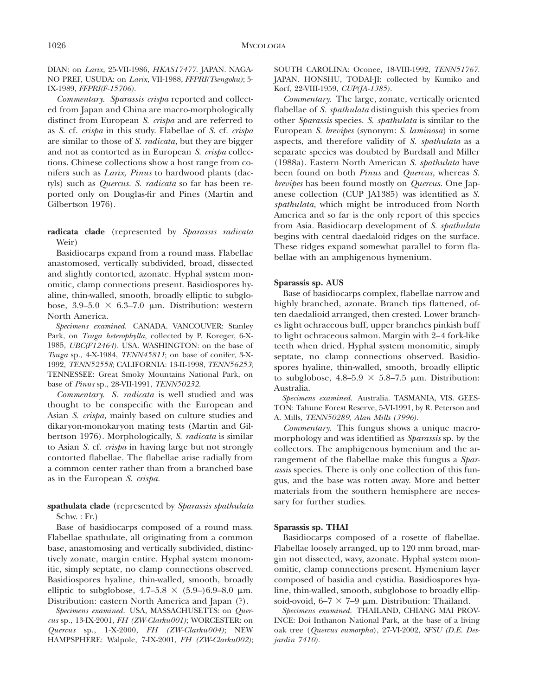DIAN: on *Larix,* 25-VII-1986, *HKAS17477.* JAPAN. NAGA-NO PREF, USUDA: on *Larix,* VII-1988, *FFPRI(Tsengoku)*; 5- IX-1989, *FFPRI(F-15706).*

*Commentary. Sparassis crispa* reported and collected from Japan and China are macro-morphologically distinct from European *S. crispa* and are referred to as *S.* cf. *crispa* in this study. Flabellae of *S.* cf. *crispa* are similar to those of *S. radicata,* but they are bigger and not as contorted as in European *S. crispa* collections. Chinese collections show a host range from conifers such as *Larix, Pinus* to hardwood plants (dactyls) such as *Quercus. S. radicata* so far has been reported only on Douglas-fir and Pines (Martin and Gilbertson 1976).

**radicata clade** (represented by *Sparassis radicata* Weir)

Basidiocarps expand from a round mass. Flabellae anastomosed, vertically subdivided, broad, dissected and slightly contorted, azonate. Hyphal system monomitic, clamp connections present. Basidiospores hyaline, thin-walled, smooth, broadly elliptic to subglobose,  $3.9-5.0 \times 6.3-7.0 \mu m$ . Distribution: western North America.

*Specimens examined.* CANADA. VANCOUVER: Stanley Park, on *Tsuga heterophylla,* collected by P. Koreger, 6-X-1985, *UBC(F12464).* USA. WASHINGTON: on the base of *Tsuga* sp., 4-X-1984, *TENN45811*; on base of conifer, 3-X-1992, *TENN52558*; CALIFORNIA: 13-II-1998, *TENN56253*; TENNESSEE: Great Smoky Mountains National Park, on base of *Pinus* sp., 28-VII-1991, *TENN50232.*

*Commentary. S. radicata* is well studied and was thought to be conspecific with the European and Asian *S. crispa,* mainly based on culture studies and dikaryon-monokaryon mating tests (Martin and Gilbertson 1976). Morphologically, *S. radicata* is similar to Asian *S.* cf. *crispa* in having large but not strongly contorted flabellae. The flabellae arise radially from a common center rather than from a branched base as in the European *S. crispa.*

# **spathulata clade** (represented by *Sparassis spathulata* Schw. : Fr.)

Base of basidiocarps composed of a round mass. Flabellae spathulate, all originating from a common base, anastomosing and vertically subdivided, distinctively zonate, margin entire. Hyphal system monomitic, simply septate, no clamp connections observed. Basidiospores hyaline, thin-walled, smooth, broadly elliptic to subglobose,  $4.7-5.8 \times (5.9-)6.9-8.0 \mu m$ . Distribution: eastern North America and Japan (?).

*Specimens examined.* USA, MASSACHUSETTS: on *Quercus* sp., 13-IX-2001, *FH (ZW-Clarku001)*; WORCESTER: on *Quercus* sp., 1-X-2000, *FH (ZW-Clarku004)*; NEW HAMPSPHERE: Walpole, 7-IX-2001, *FH (ZW-Clarku002)*;

SOUTH CAROLINA: Oconee, 18-VIII-1992, *TENN51767.* JAPAN. HONSHU, TODAI-JI: collected by Kumiko and Korf, 22-VIII-1959, *CUP(JA-1385).*

*Commentary.* The large, zonate, vertically oriented flabellae of *S. spathulata* distinguish this species from other *Sparassis* species. *S. spathulata* is similar to the European *S. brevipes* (synonym: *S. laminosa*) in some aspects, and therefore validity of *S. spathulata* as a separate species was doubted by Burdsall and Miller (1988a). Eastern North American *S. spathulata* have been found on both *Pinus* and *Quercus,* whereas *S. brevipes* has been found mostly on *Quercus.* One Japanese collection (CUP JA1385) was identified as *S. spathulata,* which might be introduced from North America and so far is the only report of this species from Asia. Basidiocarp development of *S. spathulata* begins with central daedaloid ridges on the surface. These ridges expand somewhat parallel to form flabellae with an amphigenous hymenium.

### **Sparassis sp. AUS**

Base of basidiocarps complex, flabellae narrow and highly branched, azonate. Branch tips flattened, often daedalioid arranged, then crested. Lower branches light ochraceous buff, upper branches pinkish buff to light ochraceous salmon. Margin with 2–4 fork-like teeth when dried. Hyphal system monomitic, simply septate, no clamp connections observed. Basidiospores hyaline, thin-walled, smooth, broadly elliptic to subglobose,  $4.8-5.9 \times 5.8-7.5 \mu m$ . Distribution: Australia.

*Specimens examined.* Australia. TASMANIA, VIS. GEES-TON: Tahune Forest Reserve, 5-VI-1991, by R. Peterson and A. Mills, *TENN50289, Alan Mills (3996).*

*Commentary.* This fungus shows a unique macromorphology and was identified as *Sparassis* sp. by the collectors. The amphigenous hymenium and the arrangement of the flabellae make this fungus a *Sparassis* species. There is only one collection of this fungus, and the base was rotten away. More and better materials from the southern hemisphere are necessary for further studies.

#### **Sparassis sp. THAI**

Basidiocarps composed of a rosette of flabellae. Flabellae loosely arranged, up to 120 mm broad, margin not dissected, wavy, azonate. Hyphal system monomitic, clamp connections present. Hymenium layer composed of basidia and cystidia. Basidiospores hyaline, thin-walled, smooth, subglobose to broadly ellipsoid-ovoid,  $6-7 \times 7-9 \mu m$ . Distribution: Thailand.

*Specimens examined.* THAILAND, CHIANG MAI PROV-INCE: Doi Inthanon National Park, at the base of a living oak tree (*Quercus eumorpha*), 27-VI-2002, *SFSU (D.E. Desjardin 7410).*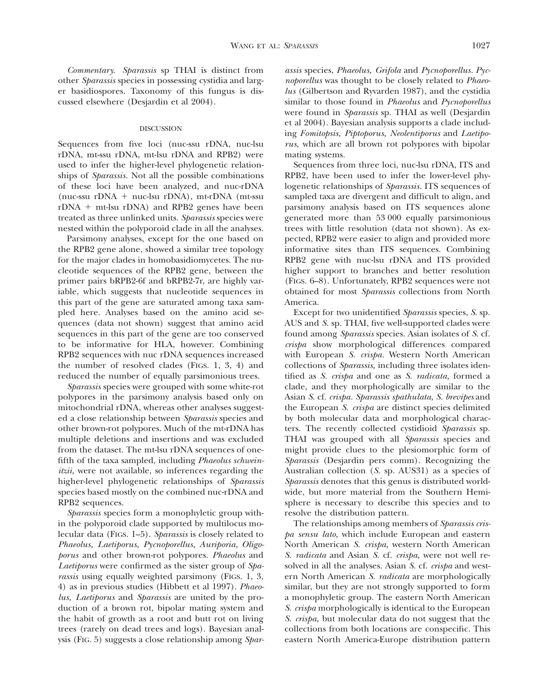*Commentary. Sparassis* sp THAI is distinct from other *Sparassis* species in possessing cystidia and larger basidiospores. Taxonomy of this fungus is discussed elsewhere (Desjardin et al 2004).

#### DISCUSSION

Sequences from five loci (nuc-ssu rDNA, nuc-lsu rDNA, mt-ssu rDNA, mt-lsu rDNA and RPB2) were used to infer the higher-level phylogenetic relationships of *Sparassis.* Not all the possible combinations of these loci have been analyzed, and nuc-rDNA  $(nuc-ssu rDNA + nuc-lsu rDNA)$ , mt-rDNA  $(mt-ssu$  $rDNA + mt-lsu rDNA)$  and RPB2 genes have been treated as three unlinked units. *Sparassis* species were nested within the polyporoid clade in all the analyses.

Parsimony analyses, except for the one based on the RPB2 gene alone, showed a similar tree topology for the major clades in homobasidiomycetes. The nucleotide sequences of the RPB2 gene, between the primer pairs bRPB2-6f and bRPB2-7r, are highly variable, which suggests that nucleotide sequences in this part of the gene are saturated among taxa sampled here. Analyses based on the amino acid sequences (data not shown) suggest that amino acid sequences in this part of the gene are too conserved to be informative for HLA, however. Combining RPB2 sequences with nuc rDNA sequences increased the number of resolved clades (FIGS. 1, 3, 4) and reduced the number of equally parsimonious trees.

*Sparassis* species were grouped with some white-rot polypores in the parsimony analysis based only on mitochondrial rDNA, whereas other analyses suggested a close relationship between *Sparassis* species and other brown-rot polypores. Much of the mt-rDNA has multiple deletions and insertions and was excluded from the dataset. The mt-lsu rDNA sequences of onefifth of the taxa sampled, including *Phaeolus schweinitzii,* were not available, so inferences regarding the higher-level phylogenetic relationships of *Sparassis* species based mostly on the combined nuc-rDNA and RPB2 sequences.

*Sparassis* species form a monophyletic group within the polyporoid clade supported by multilocus molecular data (FIGS. 1–5). *Sparassis* is closely related to *Phaeolus, Laetiporus, Pycnoporellus, Auriporia, Oligoporus* and other brown-rot polypores. *Phaeolus* and *Laetiporus* were confirmed as the sister group of *Sparassis* using equally weighted parsimony (FIGS. 1, 3, 4) as in previous studies (Hibbett et al 1997). *Phaeolus, Laetiporus* and *Sparassis* are united by the production of a brown rot, bipolar mating system and the habit of growth as a root and butt rot on living trees (rarely on dead trees and logs). Bayesian analysis (FIG. 5) suggests a close relationship among *Spar-* *assis* species, *Phaeolus, Grifola* and *Pycnoporellus. Pycnoporellus* was thought to be closely related to *Phaeolus* (Gilbertson and Ryvarden 1987), and the cystidia similar to those found in *Phaeolus* and *Pycnoporellus* were found in *Sparassis* sp. THAI as well (Desjardin et al 2004). Bayesian analysis supports a clade including *Fomitopsis, Piptoporus, Neolentiporus* and *Laetiporus,* which are all brown rot polypores with bipolar mating systems.

Sequences from three loci, nuc-lsu rDNA, ITS and RPB2, have been used to infer the lower-level phylogenetic relationships of *Sparassis.* ITS sequences of sampled taxa are divergent and difficult to align, and parsimony analysis based on ITS sequences alone generated more than 53 000 equally parsimonious trees with little resolution (data not shown). As expected, RPB2 were easier to align and provided more informative sites than ITS sequences. Combining RPB2 gene with nuc-lsu rDNA and ITS provided higher support to branches and better resolution (FIGS. 6–8). Unfortunately, RPB2 sequences were not obtained for most *Sparassis* collections from North America.

Except for two unidentified *Sparassis* species, *S.* sp. AUS and *S.* sp. THAI, five well-supported clades were found among *Sparassis* species. Asian isolates of *S.* cf. *crispa* show morphological differences compared with European *S. crispa.* Western North American collections of *Sparassis,* including three isolates identified as *S. crispa* and one as *S. radicata,* formed a clade, and they morphologically are similar to the Asian *S.* cf. *crispa. Sparassis spathulata, S. brevipes* and the European *S. crispa* are distinct species delimited by both molecular data and morphological characters. The recently collected cystidioid *Sparassis* sp. THAI was grouped with all *Sparassis* species and might provide clues to the plesiomorphic form of *Sparassis* (Desjardin pers comm). Recognizing the Australian collection (*S.* sp. AUS31) as a species of *Sparassis* denotes that this genus is distributed worldwide, but more material from the Southern Hemisphere is necessary to describe this species and to resolve the distribution pattern.

The relationships among members of *Sparassis crispa sensu lato,* which include European and eastern North American *S. crispa,* western North American *S. radicata* and Asian *S.* cf. *crispa,* were not well resolved in all the analyses. Asian *S.* cf. *crispa* and western North American *S. radicata* are morphologically similar, but they are not strongly supported to form a monophyletic group. The eastern North American *S. crispa* morphologically is identical to the European *S. crispa,* but molecular data do not suggest that the collections from both locations are conspecific. This eastern North America-Europe distribution pattern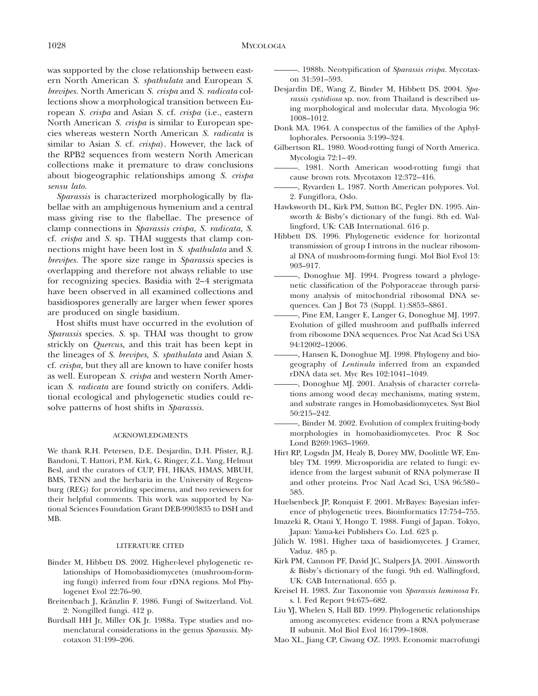was supported by the close relationship between eastern North American *S. spathulata* and European *S. brevipes.* North American *S. crispa* and *S. radicata* collections show a morphological transition between European *S. crispa* and Asian *S.* cf. *crispa* (i.e., eastern North American *S. crispa* is similar to European species whereas western North American *S. radicata* is similar to Asian *S.* cf. *crispa*). However, the lack of the RPB2 sequences from western North American collections make it premature to draw conclusions about biogeographic relationships among *S. crispa sensu lato.*

*Sparassis* is characterized morphologically by flabellae with an amphigenous hymenium and a central mass giving rise to the flabellae. The presence of clamp connections in *Sparassis crispa, S. radicata, S.* cf. *crispa* and *S.* sp. THAI suggests that clamp connections might have been lost in *S. spathulata* and *S. brevipes.* The spore size range in *Sparassis* species is overlapping and therefore not always reliable to use for recognizing species. Basidia with 2–4 sterigmata have been observed in all examined collections and basidiospores generally are larger when fewer spores are produced on single basidium.

Host shifts must have occurred in the evolution of *Sparassis* species. *S.* sp. THAI was thought to grow strickly on *Quercus,* and this trait has been kept in the lineages of *S. brevipes, S. spathulata* and Asian *S.* cf. *crispa,* but they all are known to have conifer hosts as well. European *S. crispa* and western North American *S. radicata* are found strictly on conifers. Additional ecological and phylogenetic studies could resolve patterns of host shifts in *Sparassis.*

#### ACKNOWLEDGMENTS

We thank R.H. Petersen, D.E. Desjardin, D.H. Pfister, R.J. Bandoni, T. Hattori, P.M. Kirk, G. Ringer, Z.L. Yang, Helmut Besl, and the curators of CUP, FH, HKAS, HMAS, MBUH, BMS, TENN and the herbaria in the University of Regensburg (REG) for providing specimens, and two reviewers for their helpful comments. This work was supported by National Sciences Foundation Grant DEB-9903835 to DSH and MB.

### LITERATURE CITED

- Binder M, Hibbett DS. 2002. Higher-level phylogenetic relationships of Homobasidiomycetes (mushroom-forming fungi) inferred from four rDNA regions. Mol Phylogenet Evol 22:76–90.
- Breitenbach J, Kränzlin F. 1986. Fungi of Switzerland. Vol. 2: Nongilled fungi. 412 p.
- Burdsall HH Jr, Miller OK Jr. 1988a. Type studies and nomenclatural considerations in the genus *Sparassis.* Mycotaxon 31:199–206.

. 1988b. Neotypification of *Sparassis crispa.* Mycotaxon 31:591–593.

- Desjardin DE, Wang Z, Binder M, Hibbett DS. 2004. *Sparassis cystidiosa* sp. nov. from Thailand is described using morphological and molecular data. Mycologia 96: 1008–1012.
- Donk MA. 1964. A conspectus of the families of the Aphyllophorales. Persoonia 3:199–324.
- Gilbertson RL. 1980. Wood-rotting fungi of North America. Mycologia 72:1–49.
- . 1981. North American wood-rotting fungi that cause brown rots. Mycotaxon 12:372–416.
- , Ryvarden L. 1987. North American polypores. Vol. 2. Fungiflora, Oslo.
- Hawksworth DL, Kirk PM, Sutton BC, Pegler DN. 1995. Ainsworth & Bisby's dictionary of the fungi. 8th ed. Wallingford, UK: CAB International. 616 p.
- Hibbett DS. 1996. Phylogenetic evidence for horizontal transmission of group I introns in the nuclear ribosomal DNA of mushroom-forming fungi. Mol Biol Evol 13: 903–917.
- , Donoghue MJ. 1994. Progress toward a phylogenetic classification of the Polyporaceae through parsimony analysis of mitochondrial ribosomal DNA sequences. Can J Bot 73 (Suppl. 1):S853–S861.
- , Pine EM, Langer E, Langer G, Donoghue MJ. 1997. Evolution of gilled mushroom and puffballs inferred from ribosome DNA sequences. Proc Nat Acad Sci USA 94:12002–12006.
- , Hansen K, Donoghue MJ. 1998. Phylogeny and biogeography of *Lentinula* inferred from an expanded rDNA data set. Myc Res 102:1041–1049.
- , Donoghue MJ. 2001. Analysis of character correlations among wood decay mechanisms, mating system, and substrate ranges in Homobasidiomycetes. Syst Biol 50:215–242.
- , Binder M. 2002. Evolution of complex fruiting-body morphologies in homobasidiomycetes. Proc R Soc Lond B269:1963–1969.
- Hirt RP, Logsdn JM, Healy B, Dorey MW, Doolittle WF, Embley TM. 1999. Microsporidia are related to fungi: evidence from the largest subunit of RNA polymerase II and other proteins. Proc Natl Acad Sci, USA 96:580– 585.
- Huelsenbeck JP, Ronquist F. 2001. MrBayes: Bayesian inference of phylogenetic trees. Bioinformatics 17:754–755.
- Imazeki R, Otani Y, Hongo T. 1988. Fungi of Japan. Tokyo, Japan: Yama-kei Publishers Co. Ltd. 623 p.
- Jülich W. 1981. Higher taxa of basidiomycetes. J Cramer, Vaduz. 485 p.
- Kirk PM, Cannon PF, David JC, Stalpers JA. 2001. Ainsworth & Bisby's dictionary of the fungi. 9th ed. Wallingford, UK: CAB International. 655 p.
- Kreisel H. 1983. Zur Taxonomie von *Sparassis laminosa* Fr. s. l. Fed Report 94:675–682.
- Liu YJ, Whelen S, Hall BD. 1999. Phylogenetic relationships among ascomycetes: evidence from a RNA polymerase II subunit. Mol Biol Evol 16:1799–1808.
- Mao XL, Jiang CP, Ciwang OZ. 1993. Economic macrofungi